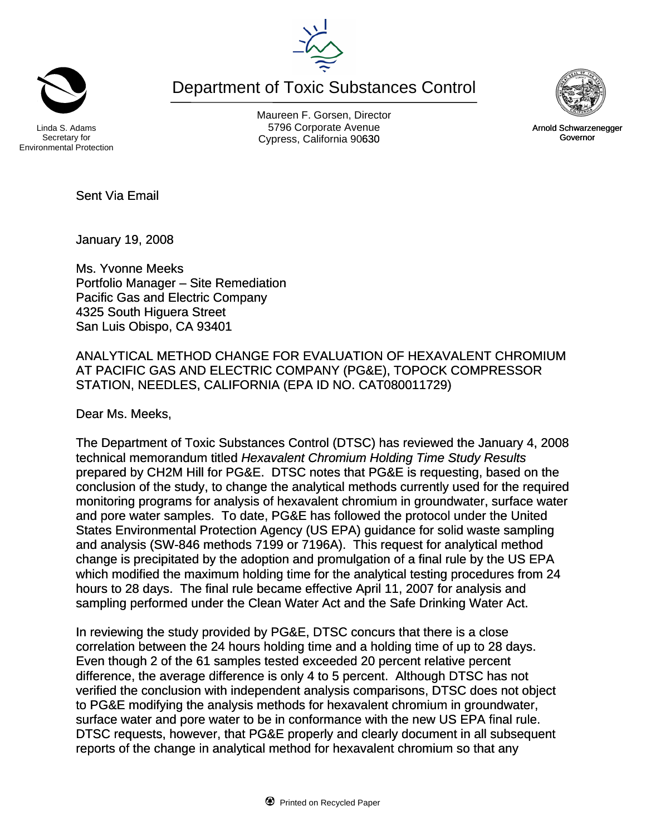Department of Toxic Substances Control

Secretary for Environmental Protection

Maureen F. Gorsen, Director Linda S. Adams **Example 20** Corporate Avenue Christian Avenue 5796 Corporate Avenue Cypress, California 90630 **Canadian Cypress**, California 90630

Sent Via Email

January 19, 2008

Ms. Yvonne Meeks Portfolio Manager – Site Remediation Pacific Gas and Electric Company 4325 South Higuera Street San Luis Obispo, CA 93401

ANALYTICAL METHOD CHANGE FOR EVALUATION OF HEXAVALENT CHROMIUM AT PACIFIC GAS AND ELECTRIC COMPANY (PG&E), TOPOCK COMPRESSOR STATION, NEEDLES, CALIFORNIA (EPA ID NO. CAT080011729)

Dear Ms. Meeks,

The Department of Toxic Substances Control (DTSC) has reviewed the January 4, 2008 technical memorandum titled *Hexavalent Chromium Holding Time Study Results*  prepared by CH2M Hill for PG&E. DTSC notes that PG&E is requesting, based on the conclusion of the study, to change the analytical methods currently used for the required monitoring programs for analysis of hexavalent chromium in groundwater, surface water and pore water samples. To date, PG&E has followed the protocol under the United States Environmental Protection Agency (US EPA) guidance for solid waste sampling and analysis (SW-846 methods 7199 or 7196A). This request for analytical method change is precipitated by the adoption and promulgation of a final rule by the US EPA which modified the maximum holding time for the analytical testing procedures from 24 hours to 28 days. The final rule became effective April 11, 2007 for analysis and sampling performed under the Clean Water Act and the Safe Drinking Water Act.

In reviewing the study provided by PG&E, DTSC concurs that there is a close correlation between the 24 hours holding time and a holding time of up to 28 days. Even though 2 of the 61 samples tested exceeded 20 percent relative percent difference, the average difference is only 4 to 5 percent. Although DTSC has not verified the conclusion with independent analysis comparisons, DTSC does not object to PG&E modifying the analysis methods for hexavalent chromium in groundwater, surface water and pore water to be in conformance with the new US EPA final rule. DTSC requests, however, that PG&E properly and clearly document in all subsequent reports of the change in analytical method for hexavalent chromium so that any





Arnold Schwarzenegger Governor